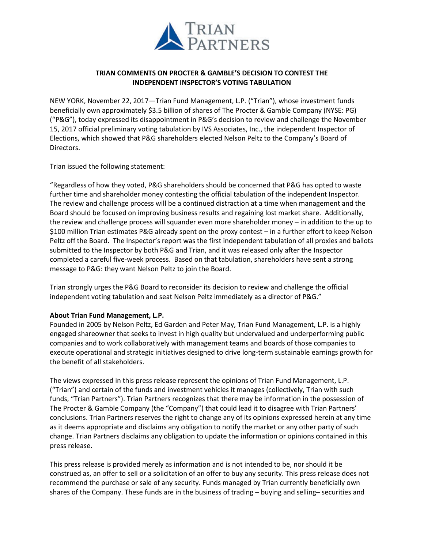

## **TRIAN COMMENTS ON PROCTER & GAMBLE'S DECISION TO CONTEST THE INDEPENDENT INSPECTOR'S VOTING TABULATION**

NEW YORK, November 22, 2017—Trian Fund Management, L.P. ("Trian"), whose investment funds beneficially own approximately \$3.5 billion of shares of The Procter & Gamble Company (NYSE: PG) ("P&G"), today expressed its disappointment in P&G's decision to review and challenge the November 15, 2017 official preliminary voting tabulation by IVS Associates, Inc., the independent Inspector of Elections, which showed that P&G shareholders elected Nelson Peltz to the Company's Board of Directors.

Trian issued the following statement:

"Regardless of how they voted, P&G shareholders should be concerned that P&G has opted to waste further time and shareholder money contesting the official tabulation of the independent Inspector. The review and challenge process will be a continued distraction at a time when management and the Board should be focused on improving business results and regaining lost market share. Additionally, the review and challenge process will squander even more shareholder money – in addition to the up to \$100 million Trian estimates P&G already spent on the proxy contest – in a further effort to keep Nelson Peltz off the Board. The Inspector's report was the first independent tabulation of all proxies and ballots submitted to the Inspector by both P&G and Trian, and it was released only after the Inspector completed a careful five-week process. Based on that tabulation, shareholders have sent a strong message to P&G: they want Nelson Peltz to join the Board.

Trian strongly urges the P&G Board to reconsider its decision to review and challenge the official independent voting tabulation and seat Nelson Peltz immediately as a director of P&G."

## **About Trian Fund Management, L.P.**

Founded in 2005 by Nelson Peltz, Ed Garden and Peter May, Trian Fund Management, L.P. is a highly engaged shareowner that seeks to invest in high quality but undervalued and underperforming public companies and to work collaboratively with management teams and boards of those companies to execute operational and strategic initiatives designed to drive long-term sustainable earnings growth for the benefit of all stakeholders.

The views expressed in this press release represent the opinions of Trian Fund Management, L.P. ("Trian") and certain of the funds and investment vehicles it manages (collectively, Trian with such funds, "Trian Partners"). Trian Partners recognizes that there may be information in the possession of The Procter & Gamble Company (the "Company") that could lead it to disagree with Trian Partners' conclusions. Trian Partners reserves the right to change any of its opinions expressed herein at any time as it deems appropriate and disclaims any obligation to notify the market or any other party of such change. Trian Partners disclaims any obligation to update the information or opinions contained in this press release.

This press release is provided merely as information and is not intended to be, nor should it be construed as, an offer to sell or a solicitation of an offer to buy any security. This press release does not recommend the purchase or sale of any security. Funds managed by Trian currently beneficially own shares of the Company. These funds are in the business of trading – buying and selling– securities and